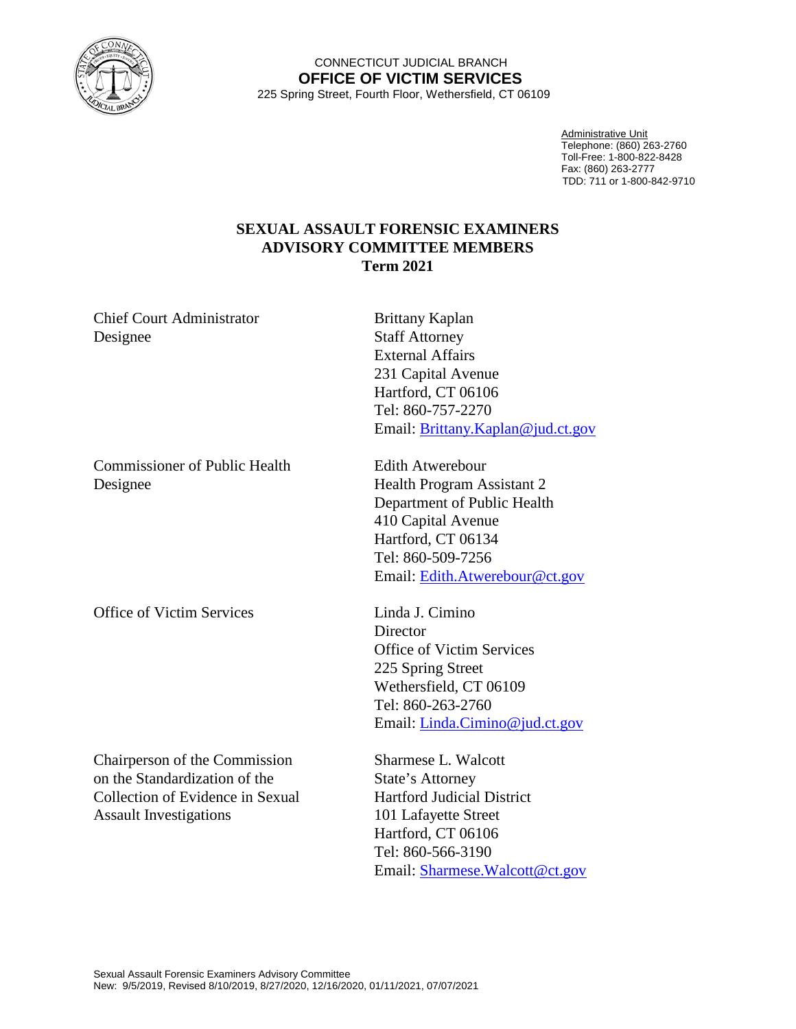

## CONNECTICUT JUDICIAL BRANCH **OFFICE OF VICTIM SERVICES** 225 Spring Street, Fourth Floor, Wethersfield, CT 06109

Administrative Unit Telephone: (860) 263-2760 Toll-Free: 1-800-822-8428 Fax: (860) 263-2777 TDD: 711 or 1-800-842-9710

## **SEXUAL ASSAULT FORENSIC EXAMINERS ADVISORY COMMITTEE MEMBERS Term 2021**

Chief Court Administrator Brittany Kaplan Designee Staff Attorney External Affairs 231 Capital Avenue Hartford, CT 06106 Tel: 860-757-2270 Email: [Brittany.Kaplan@jud.ct.gov](mailto:Brittany.Kaplan@jud.ct.gov) Commissioner of Public Health Edith Atwerebour Designee Health Program Assistant 2 Department of Public Health 410 Capital Avenue Hartford, CT 06134 Tel: 860-509-7256 Email: [Edith.Atwerebour@ct.gov](mailto:Edith.Atwerebour@ct.gov) Office of Victim Services Linda J. Cimino **Director** Office of Victim Services 225 Spring Street Wethersfield, CT 06109 Tel: 860-263-2760 Email: [Linda.Cimino@jud.ct.gov](mailto:Linda.Cimino@jud.ct.gov) Chairperson of the Commission Sharmese L. Walcott on the Standardization of the State's Attorney Collection of Evidence in Sexual Hartford Judicial District Assault Investigations 101 Lafayette Street Hartford, CT 06106 Tel: 860-566-3190 Email: [Sharmese.Walcott@ct.gov](mailto:Sharmese.Walcott@ct.gov)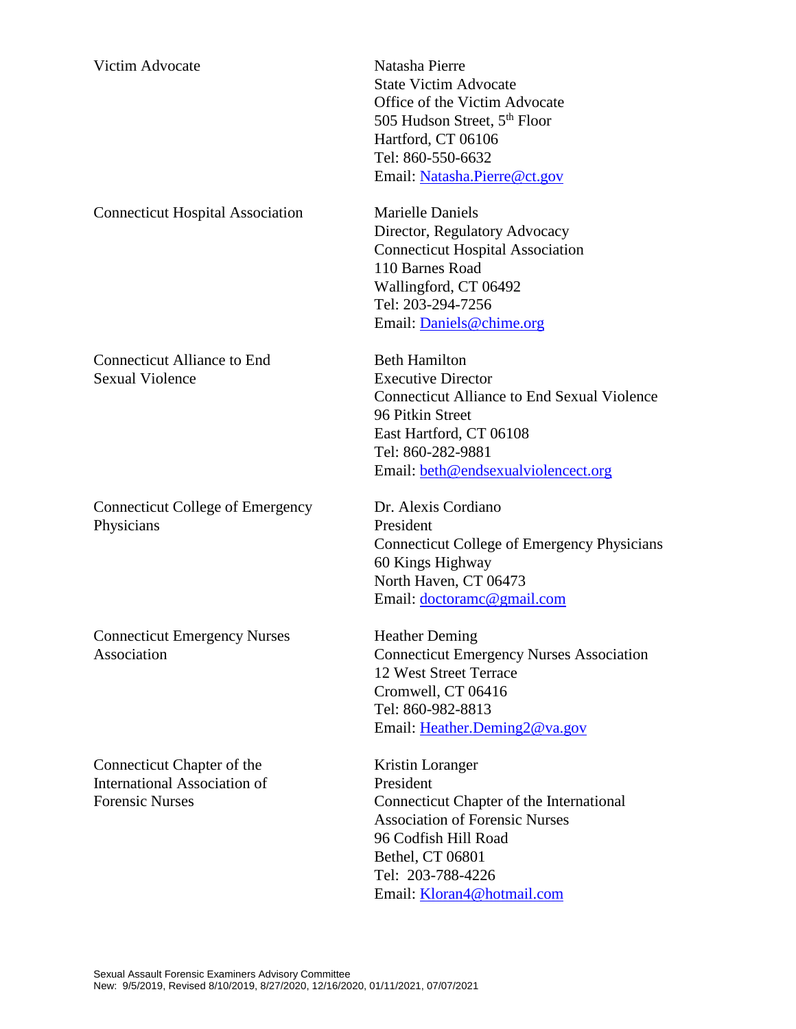| <b>Victim Advocate</b>                                                               | Natasha Pierre<br><b>State Victim Advocate</b><br>Office of the Victim Advocate<br>505 Hudson Street, 5 <sup>th</sup> Floor<br>Hartford, CT 06106<br>Tel: 860-550-6632<br>Email: Natasha.Pierre@ct.gov             |
|--------------------------------------------------------------------------------------|--------------------------------------------------------------------------------------------------------------------------------------------------------------------------------------------------------------------|
| <b>Connecticut Hospital Association</b>                                              | <b>Marielle Daniels</b><br>Director, Regulatory Advocacy<br><b>Connecticut Hospital Association</b><br>110 Barnes Road<br>Wallingford, CT 06492<br>Tel: 203-294-7256<br>Email: Daniels@chime.org                   |
| <b>Connecticut Alliance to End</b><br><b>Sexual Violence</b>                         | <b>Beth Hamilton</b><br><b>Executive Director</b><br><b>Connecticut Alliance to End Sexual Violence</b><br>96 Pitkin Street<br>East Hartford, CT 06108<br>Tel: 860-282-9881<br>Email: beth@endsexualviolencect.org |
| <b>Connecticut College of Emergency</b><br>Physicians                                | Dr. Alexis Cordiano<br>President<br><b>Connecticut College of Emergency Physicians</b><br>60 Kings Highway<br>North Haven, CT 06473<br>Email: doctoramc@gmail.com                                                  |
| <b>Connecticut Emergency Nurses</b><br>Association                                   | <b>Heather Deming</b><br><b>Connecticut Emergency Nurses Association</b><br>12 West Street Terrace<br>Cromwell, CT 06416<br>Tel: 860-982-8813<br>Email: Heather.Deming2@va.gov                                     |
| Connecticut Chapter of the<br>International Association of<br><b>Forensic Nurses</b> | Kristin Loranger<br>President<br>Connecticut Chapter of the International<br><b>Association of Forensic Nurses</b><br>96 Codfish Hill Road<br>Bethel, CT 06801<br>Tel: 203-788-4226                                |

Email: <u>Kloran4@hotmail.com</u>